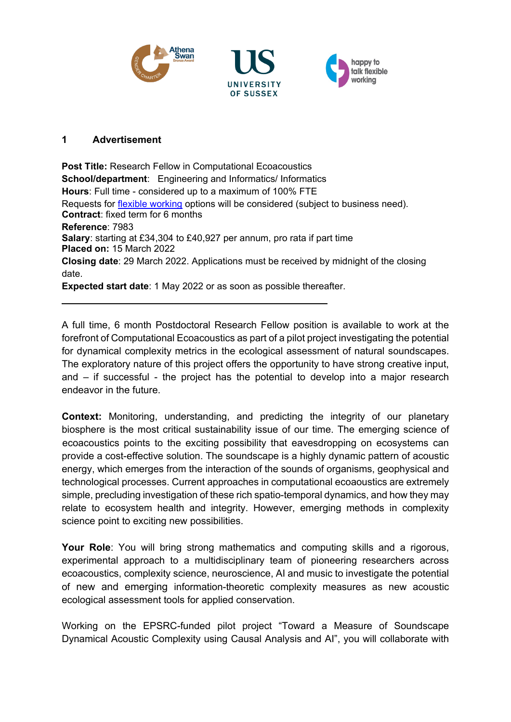





## **1 Advertisement**

**Post Title:** Research Fellow in Computational Ecoacoustics **School/department**: Engineering and Informatics/ Informatics **Hours**: Full time - considered up to a maximum of 100% FTE Requests for [flexible working](http://www.sussex.ac.uk/humanresources/personnel/flexible-working) options will be considered (subject to business need). **Contract**: fixed term for 6 months **Reference**: 7983 **Salary**: starting at £34,304 to £40,927 per annum, pro rata if part time **Placed on:** 15 March 2022 **Closing date**: 29 March 2022. Applications must be received by midnight of the closing date. **Expected start date**: 1 May 2022 or as soon as possible thereafter.

A full time, 6 month Postdoctoral Research Fellow position is available to work at the forefront of Computational Ecoacoustics as part of a pilot project investigating the potential for dynamical complexity metrics in the ecological assessment of natural soundscapes. The exploratory nature of this project offers the opportunity to have strong creative input, and – if successful - the project has the potential to develop into a major research endeavor in the future.

**Context:** Monitoring, understanding, and predicting the integrity of our planetary biosphere is the most critical sustainability issue of our time. The emerging science of ecoacoustics points to the exciting possibility that eavesdropping on ecosystems can provide a cost-effective solution. The soundscape is a highly dynamic pattern of acoustic energy, which emerges from the interaction of the sounds of organisms, geophysical and technological processes. Current approaches in computational ecoaoustics are extremely simple, precluding investigation of these rich spatio-temporal dynamics, and how they may relate to ecosystem health and integrity. However, emerging methods in complexity science point to exciting new possibilities.

**Your Role**: You will bring strong mathematics and computing skills and a rigorous, experimental approach to a multidisciplinary team of pioneering researchers across ecoacoustics, complexity science, neuroscience, AI and music to investigate the potential of new and emerging information-theoretic complexity measures as new acoustic ecological assessment tools for applied conservation.

Working on the EPSRC-funded pilot project "Toward a Measure of Soundscape Dynamical Acoustic Complexity using Causal Analysis and AI", you will collaborate with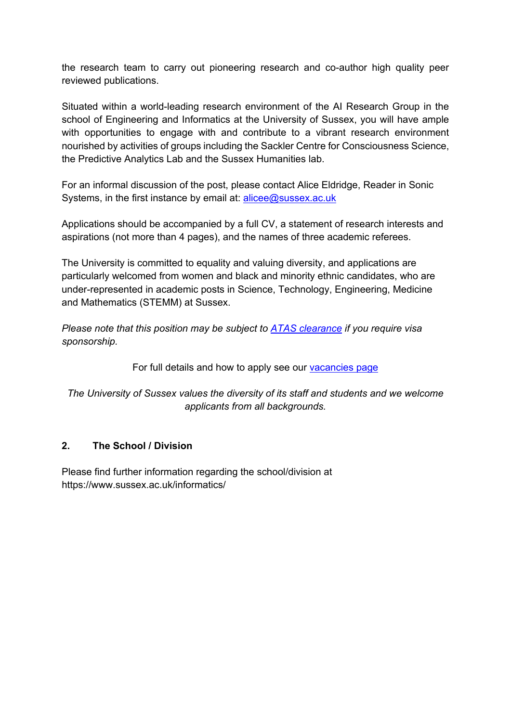the research team to carry out pioneering research and co-author high quality peer reviewed publications.

Situated within a world-leading research environment of the AI Research Group in the school of Engineering and Informatics at the University of Sussex, you will have ample with opportunities to engage with and contribute to a vibrant research environment nourished by activities of groups including the Sackler Centre for Consciousness Science, the Predictive Analytics Lab and the Sussex Humanities lab.

For an informal discussion of the post, please contact Alice Eldridge, Reader in Sonic Systems, in the first instance by email at:  $\text{alice@sussex.ac.uk}$ 

Applications should be accompanied by a full CV, a statement of research interests and aspirations (not more than 4 pages), and the names of three academic referees.

The University is committed to equality and valuing diversity, and applications are particularly welcomed from women and black and minority ethnic candidates, who are under-represented in academic posts in Science, Technology, Engineering, Medicine and Mathematics (STEMM) at Sussex.

*Please note that this position may be subject to [ATAS clearance](https://www.gov.uk/guidance/academic-technology-approval-scheme) if you require visa sponsorship.*

For full details and how to apply see our [vacancies page](http://www.sussex.ac.uk/about/jobs)

*The University of Sussex values the diversity of its staff and students and we welcome applicants from all backgrounds.*

### **2. The School / Division**

Please find further information regarding the school/division at https://www.sussex.ac.uk/informatics/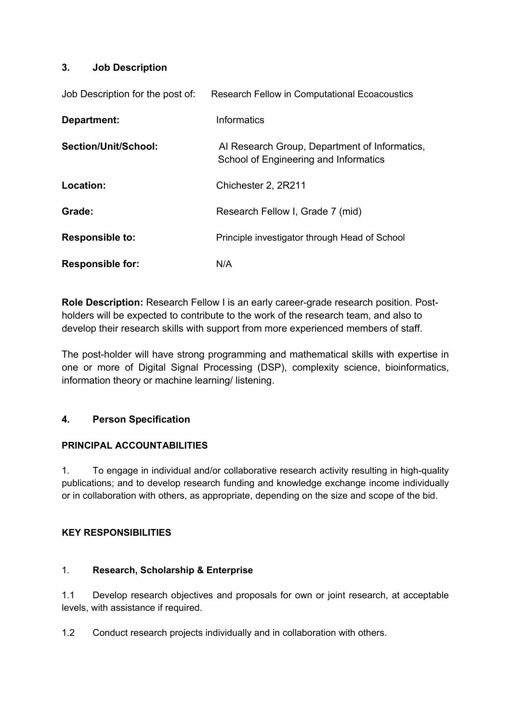### **3. Job Description**

| Job Description for the post of: | <b>Research Fellow in Computational Ecoacoustics</b>                                   |
|----------------------------------|----------------------------------------------------------------------------------------|
| Department:                      | Informatics                                                                            |
| Section/Unit/School:             | Al Research Group, Department of Informatics,<br>School of Engineering and Informatics |
| Location:                        | Chichester 2, 2R211                                                                    |
| Grade:                           | Research Fellow I, Grade 7 (mid)                                                       |
| <b>Responsible to:</b>           | Principle investigator through Head of School                                          |
| <b>Responsible for:</b>          | N/A                                                                                    |

**Role Description:** Research Fellow I is an early career-grade research position. Postholders will be expected to contribute to the work of the research team, and also to develop their research skills with support from more experienced members of staff.

The post-holder will have strong programming and mathematical skills with expertise in one or more of Digital Signal Processing (DSP), complexity science, bioinformatics, information theory or machine learning/ listening.

### **4. Person Specification**

### **PRINCIPAL ACCOUNTABILITIES**

1. To engage in individual and/or collaborative research activity resulting in high-quality publications; and to develop research funding and knowledge exchange income individually or in collaboration with others, as appropriate, depending on the size and scope of the bid.

### **KEY RESPONSIBILITIES**

### 1. **Research, Scholarship & Enterprise**

1.1 Develop research objectives and proposals for own or joint research, at acceptable levels, with assistance if required.

1.2 Conduct research projects individually and in collaboration with others.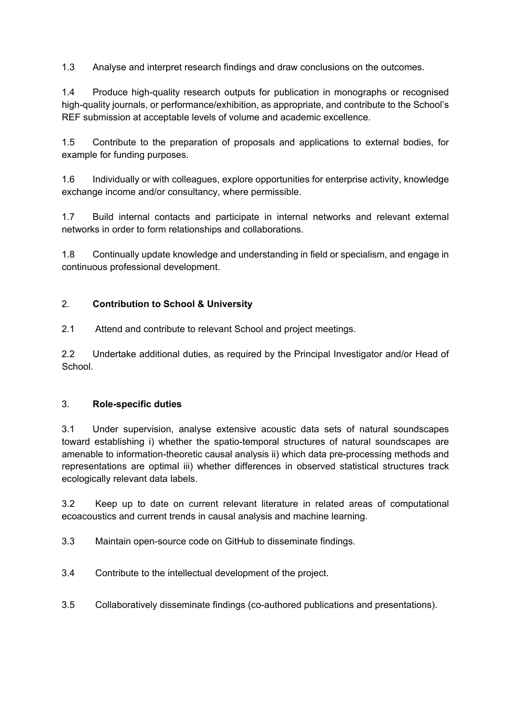1.3 Analyse and interpret research findings and draw conclusions on the outcomes.

1.4 Produce high-quality research outputs for publication in monographs or recognised high-quality journals, or performance/exhibition, as appropriate, and contribute to the School's REF submission at acceptable levels of volume and academic excellence.

1.5 Contribute to the preparation of proposals and applications to external bodies, for example for funding purposes.

1.6 Individually or with colleagues, explore opportunities for enterprise activity, knowledge exchange income and/or consultancy, where permissible.

1.7 Build internal contacts and participate in internal networks and relevant external networks in order to form relationships and collaborations.

1.8 Continually update knowledge and understanding in field or specialism, and engage in continuous professional development.

### 2. **Contribution to School & University**

2.1 Attend and contribute to relevant School and project meetings.

2.2 Undertake additional duties, as required by the Principal Investigator and/or Head of **School**.

### 3. **Role-specific duties**

3.1 Under supervision, analyse extensive acoustic data sets of natural soundscapes toward establishing i) whether the spatio-temporal structures of natural soundscapes are amenable to information-theoretic causal analysis ii) which data pre-processing methods and representations are optimal iii) whether differences in observed statistical structures track ecologically relevant data labels.

3.2 Keep up to date on current relevant literature in related areas of computational ecoacoustics and current trends in causal analysis and machine learning.

3.3 Maintain open-source code on GitHub to disseminate findings.

3.4 Contribute to the intellectual development of the project.

3.5 Collaboratively disseminate findings (co-authored publications and presentations).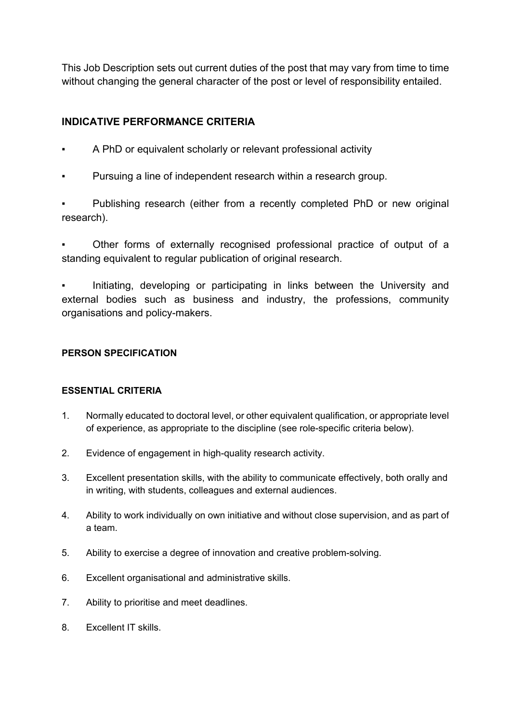This Job Description sets out current duties of the post that may vary from time to time without changing the general character of the post or level of responsibility entailed.

# **INDICATIVE PERFORMANCE CRITERIA**

- A PhD or equivalent scholarly or relevant professional activity
- Pursuing a line of independent research within a research group.

Publishing research (either from a recently completed PhD or new original research).

Other forms of externally recognised professional practice of output of a standing equivalent to regular publication of original research.

Initiating, developing or participating in links between the University and external bodies such as business and industry, the professions, community organisations and policy-makers.

### **PERSON SPECIFICATION**

### **ESSENTIAL CRITERIA**

- 1. Normally educated to doctoral level, or other equivalent qualification, or appropriate level of experience, as appropriate to the discipline (see role-specific criteria below).
- 2. Evidence of engagement in high-quality research activity.
- 3. Excellent presentation skills, with the ability to communicate effectively, both orally and in writing, with students, colleagues and external audiences.
- 4. Ability to work individually on own initiative and without close supervision, and as part of a team.
- 5. Ability to exercise a degree of innovation and creative problem-solving.
- 6. Excellent organisational and administrative skills.
- 7. Ability to prioritise and meet deadlines.
- 8. Excellent IT skills.